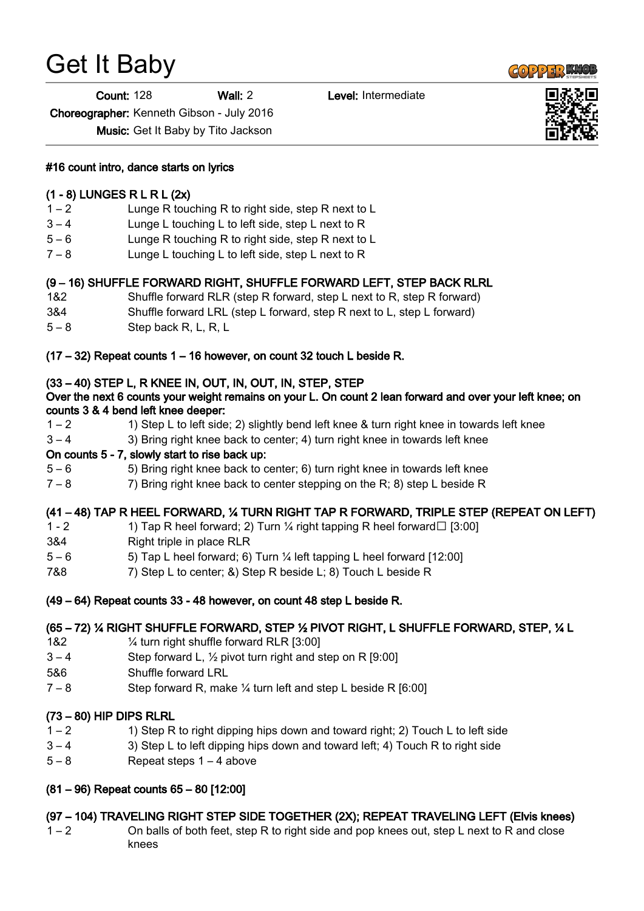# Get It Baby

Count: 128 Wall: 2 Level: Intermediate

Choreographer: Kenneth Gibson - July 2016

Music: Get It Baby by Tito Jackson

#16 count intro, dance starts on lyrics

#### (1 - 8) LUNGES R L R L (2x)

- 1 2 Lunge R touching R to right side, step R next to L
- 3 4 Lunge L touching L to left side, step L next to R
- 5 6 Lunge R touching R to right side, step R next to L
- 7 8 Lunge L touching L to left side, step L next to R

#### (9 – 16) SHUFFLE FORWARD RIGHT, SHUFFLE FORWARD LEFT, STEP BACK RLRL

- 1&2 Shuffle forward RLR (step R forward, step L next to R, step R forward)
- 3&4 Shuffle forward LRL (step L forward, step R next to L, step L forward)
- 5 8 Step back R, L, R, L

#### (17 – 32) Repeat counts 1 – 16 however, on count 32 touch L beside R.

#### (33 – 40) STEP L, R KNEE IN, OUT, IN, OUT, IN, STEP, STEP

#### Over the next 6 counts your weight remains on your L. On count 2 lean forward and over your left knee; on counts 3 & 4 bend left knee deeper:

- 1 2 1) Step L to left side; 2) slightly bend left knee & turn right knee in towards left knee
- 3 4 3) Bring right knee back to center; 4) turn right knee in towards left knee

#### On counts 5 - 7, slowly start to rise back up:

- 5 6 5) Bring right knee back to center; 6) turn right knee in towards left knee
- $7 8$  7) Bring right knee back to center stepping on the R; 8) step L beside R

#### (41 – 48) TAP R HEEL FORWARD, ¼ TURN RIGHT TAP R FORWARD, TRIPLE STEP (REPEAT ON LEFT)

- 1 2 1) Tap R heel forward; 2) Turn  $\frac{1}{4}$  right tapping R heel forward  $\Box$  [3:00]
- 3&4 Right triple in place RLR
- 5 6 5) Tap L heel forward; 6) Turn ¼ left tapping L heel forward [12:00]
- 7&8 7) Step L to center; &) Step R beside L; 8) Touch L beside R
- (49 64) Repeat counts 33 48 however, on count 48 step L beside R.

#### (65 – 72) ¼ RIGHT SHUFFLE FORWARD, STEP ½ PIVOT RIGHT, L SHUFFLE FORWARD, STEP, ¼ L

- 1&2 ¼ turn right shuffle forward RLR [3:00]
- $3 4$  Step forward L,  $\frac{1}{2}$  pivot turn right and step on R [9:00]
- 5&6 Shuffle forward LRL
- $7 8$  Step forward R, make  $\frac{1}{4}$  turn left and step L beside R [6:00]

## (73 – 80) HIP DIPS RLRL

- $1 2$  1) Step R to right dipping hips down and toward right; 2) Touch L to left side
- 3 4 3) Step L to left dipping hips down and toward left; 4) Touch R to right side
- 5 8 Repeat steps 1 4 above

## (81 – 96) Repeat counts 65 – 80 [12:00]

## (97 – 104) TRAVELING RIGHT STEP SIDE TOGETHER (2X); REPEAT TRAVELING LEFT (Elvis knees)

1 – 2 On balls of both feet, step R to right side and pop knees out, step L next to R and close knees